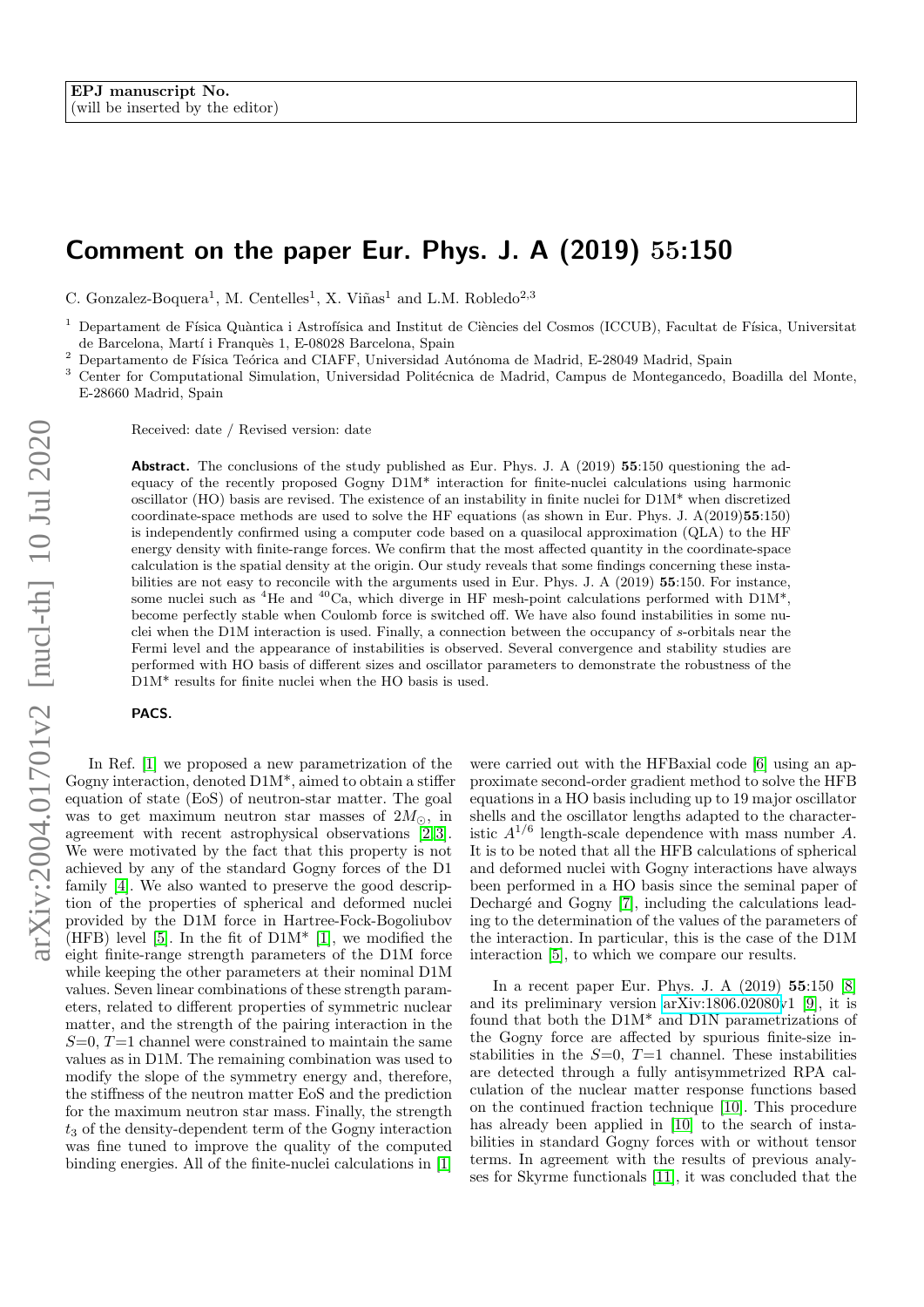## Comment on the paper Eur. Phys. J. A (2019) 55:150

C. Gonzalez-Boquera<sup>1</sup>, M. Centelles<sup>1</sup>, X. Viñas<sup>1</sup> and L.M. Robledo<sup>2,3</sup>

<sup>1</sup> Departament de Física Quàntica i Astrofísica and Institut de Ciències del Cosmos (ICCUB), Facultat de Física, Universitat de Barcelona, Martí i Franquès 1, E-08028 Barcelona, Spain

<sup>2</sup> Departamento de Física Teórica and CIAFF, Universidad Autónoma de Madrid, E-28049 Madrid, Spain  $\frac{3}{2}$  Center for Conventing University Linear Universidad Delitárias de Madrid, Converse de Martenaneador

Center for Computational Simulation, Universidad Politécnica de Madrid, Campus de Montegancedo, Boadilla del Monte, E-28660 Madrid, Spain

Received: date / Revised version: date

Abstract. The conclusions of the study published as Eur. Phys. J. A (2019) 55:150 questioning the adequacy of the recently proposed Gogny D1M\* interaction for finite-nuclei calculations using harmonic oscillator (HO) basis are revised. The existence of an instability in finite nuclei for D1M\* when discretized coordinate-space methods are used to solve the HF equations (as shown in Eur. Phys. J. A(2019)55:150) is independently confirmed using a computer code based on a quasilocal approximation (QLA) to the HF energy density with finite-range forces. We confirm that the most affected quantity in the coordinate-space calculation is the spatial density at the origin. Our study reveals that some findings concerning these instabilities are not easy to reconcile with the arguments used in Eur. Phys. J. A (2019) 55:150. For instance, some nuclei such as <sup>4</sup>He and <sup>40</sup>Ca, which diverge in HF mesh-point calculations performed with D1M<sup>\*</sup>, become perfectly stable when Coulomb force is switched off. We have also found instabilities in some nuclei when the D1M interaction is used. Finally, a connection between the occupancy of s-orbitals near the Fermi level and the appearance of instabilities is observed. Several convergence and stability studies are performed with HO basis of different sizes and oscillator parameters to demonstrate the robustness of the D1M\* results for finite nuclei when the HO basis is used.

## PACS.

In Ref. [\[1\]](#page-5-0) we proposed a new parametrization of the Gogny interaction, denoted D1M\*, aimed to obtain a stiffer equation of state (EoS) of neutron-star matter. The goal was to get maximum neutron star masses of  $2M_{\odot}$ , in agreement with recent astrophysical observations [\[2,](#page-5-1)3]. We were motivated by the fact that this property is not achieved by any of the standard Gogny forces of the D1 family [\[4\]](#page-5-3). We also wanted to preserve the good description of the properties of spherical and deformed nuclei provided by the D1M force in Hartree-Fock-Bogoliubov (HFB) level [\[5\]](#page-5-4). In the fit of  $D1M^*$  [\[1\]](#page-5-0), we modified the eight finite-range strength parameters of the D1M force while keeping the other parameters at their nominal D1M values. Seven linear combinations of these strength parameters, related to different properties of symmetric nuclear matter, and the strength of the pairing interaction in the  $S=0, T=1$  channel were constrained to maintain the same values as in D1M. The remaining combination was used to modify the slope of the symmetry energy and, therefore, the stiffness of the neutron matter EoS and the prediction for the maximum neutron star mass. Finally, the strength  $t_3$  of the density-dependent term of the Gogny interaction was fine tuned to improve the quality of the computed binding energies. All of the finite-nuclei calculations in [\[1\]](#page-5-0)

were carried out with the HFBaxial code [\[6\]](#page-5-5) using an approximate second-order gradient method to solve the HFB equations in a HO basis including up to 19 major oscillator shells and the oscillator lengths adapted to the characteristic  $A^{1/6}$  length-scale dependence with mass number A. It is to be noted that all the HFB calculations of spherical and deformed nuclei with Gogny interactions have always been performed in a HO basis since the seminal paper of Dechargé and Gogny [\[7\]](#page-5-6), including the calculations leading to the determination of the values of the parameters of the interaction. In particular, this is the case of the D1M interaction [\[5\]](#page-5-4), to which we compare our results.

In a recent paper Eur. Phys. J. A (2019) 55:150 [\[8\]](#page-5-7) and its preliminary version [arXiv:1806.02080v](http://arxiv.org/abs/1806.02080)1 [\[9\]](#page-5-8), it is found that both the D1M\* and D1N parametrizations of the Gogny force are affected by spurious finite-size instabilities in the  $S=0$ ,  $T=1$  channel. These instabilities are detected through a fully antisymmetrized RPA calculation of the nuclear matter response functions based on the continued fraction technique [\[10\]](#page-5-9). This procedure has already been applied in [\[10\]](#page-5-9) to the search of instabilities in standard Gogny forces with or without tensor terms. In agreement with the results of previous analyses for Skyrme functionals [\[11\]](#page-5-10), it was concluded that the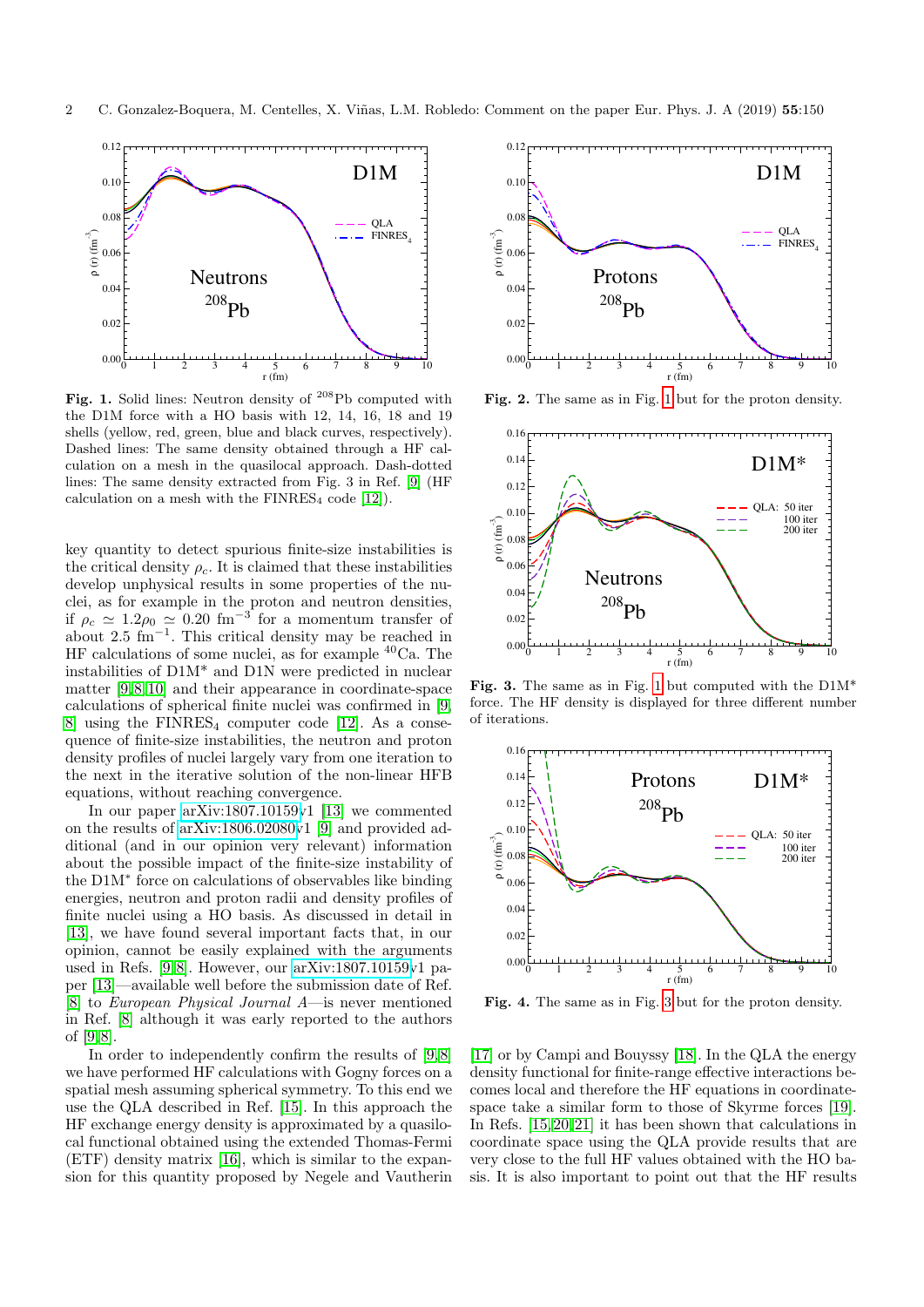

<span id="page-1-0"></span>Fig. 1. Solid lines: Neutron density of <sup>208</sup>Pb computed with the D1M force with a HO basis with 12, 14, 16, 18 and 19 shells (yellow, red, green, blue and black curves, respectively). Dashed lines: The same density obtained through a HF calculation on a mesh in the quasilocal approach. Dash-dotted lines: The same density extracted from Fig. 3 in Ref. [\[9\]](#page-5-8) (HF calculation on a mesh with the  $\text{FINRES}_4$  code [\[12\]](#page-5-11)).

key quantity to detect spurious finite-size instabilities is the critical density  $\rho_c$ . It is claimed that these instabilities develop unphysical results in some properties of the nuclei, as for example in the proton and neutron densities, if  $\rho_c \simeq 1.2 \rho_0 \simeq 0.20$  fm<sup>-3</sup> for a momentum transfer of about 2.5 fm<sup>−</sup><sup>1</sup> . This critical density may be reached in HF calculations of some nuclei, as for example <sup>40</sup>Ca. The instabilities of D1M\* and D1N were predicted in nuclear matter [\[9,](#page-5-8) [8,](#page-5-7) [10\]](#page-5-9) and their appearance in coordinate-space calculations of spherical finite nuclei was confirmed in [\[9,](#page-5-8) [8\]](#page-5-7) using the  $FINRES<sub>4</sub>$  computer code [\[12\]](#page-5-11). As a consequence of finite-size instabilities, the neutron and proton density profiles of nuclei largely vary from one iteration to the next in the iterative solution of the non-linear HFB equations, without reaching convergence.

In our paper [arXiv:1807.10159v](http://arxiv.org/abs/1807.10159)1 [\[13\]](#page-5-12) we commented on the results of [arXiv:1806.02080v](http://arxiv.org/abs/1806.02080)1 [\[9\]](#page-5-8) and provided additional (and in our opinion very relevant) information about the possible impact of the finite-size instability of the D1M<sup>∗</sup> force on calculations of observables like binding energies, neutron and proton radii and density profiles of finite nuclei using a HO basis. As discussed in detail in [\[13\]](#page-5-12), we have found several important facts that, in our opinion, cannot be easily explained with the arguments used in Refs. [\[9,](#page-5-8) [8\]](#page-5-7). However, our [arXiv:1807.10159v](http://arxiv.org/abs/1807.10159)1 paper [\[13\]](#page-5-12)—available well before the submission date of Ref. [\[8\]](#page-5-7) to European Physical Journal A—is never mentioned in Ref. [\[8\]](#page-5-7) although it was early reported to the authors of [\[9,](#page-5-8) [8\]](#page-5-7).

In order to independently confirm the results of [\[9,](#page-5-8) [8\]](#page-5-7) we have performed HF calculations with Gogny forces on a spatial mesh assuming spherical symmetry. To this end we use the QLA described in Ref. [\[15\]](#page-5-13). In this approach the HF exchange energy density is approximated by a quasilocal functional obtained using the extended Thomas-Fermi (ETF) density matrix [\[16\]](#page-5-14), which is similar to the expansion for this quantity proposed by Negele and Vautherin



<span id="page-1-2"></span>Fig. 2. The same as in Fig. [1](#page-1-0) but for the proton density.



<span id="page-1-1"></span>Fig. 3. The same as in Fig. [1](#page-1-0) but computed with the D1M\* force. The HF density is displayed for three different number of iterations.



<span id="page-1-3"></span>Fig. 4. The same as in Fig. [3](#page-1-1) but for the proton density.

[\[17\]](#page-5-15) or by Campi and Bouyssy [\[18\]](#page-5-16). In the QLA the energy density functional for finite-range effective interactions becomes local and therefore the HF equations in coordinatespace take a similar form to those of Skyrme forces [\[19\]](#page-5-17). In Refs. [\[15,](#page-5-13) [20,](#page-5-18) [21\]](#page-5-19) it has been shown that calculations in coordinate space using the QLA provide results that are very close to the full HF values obtained with the HO basis. It is also important to point out that the HF results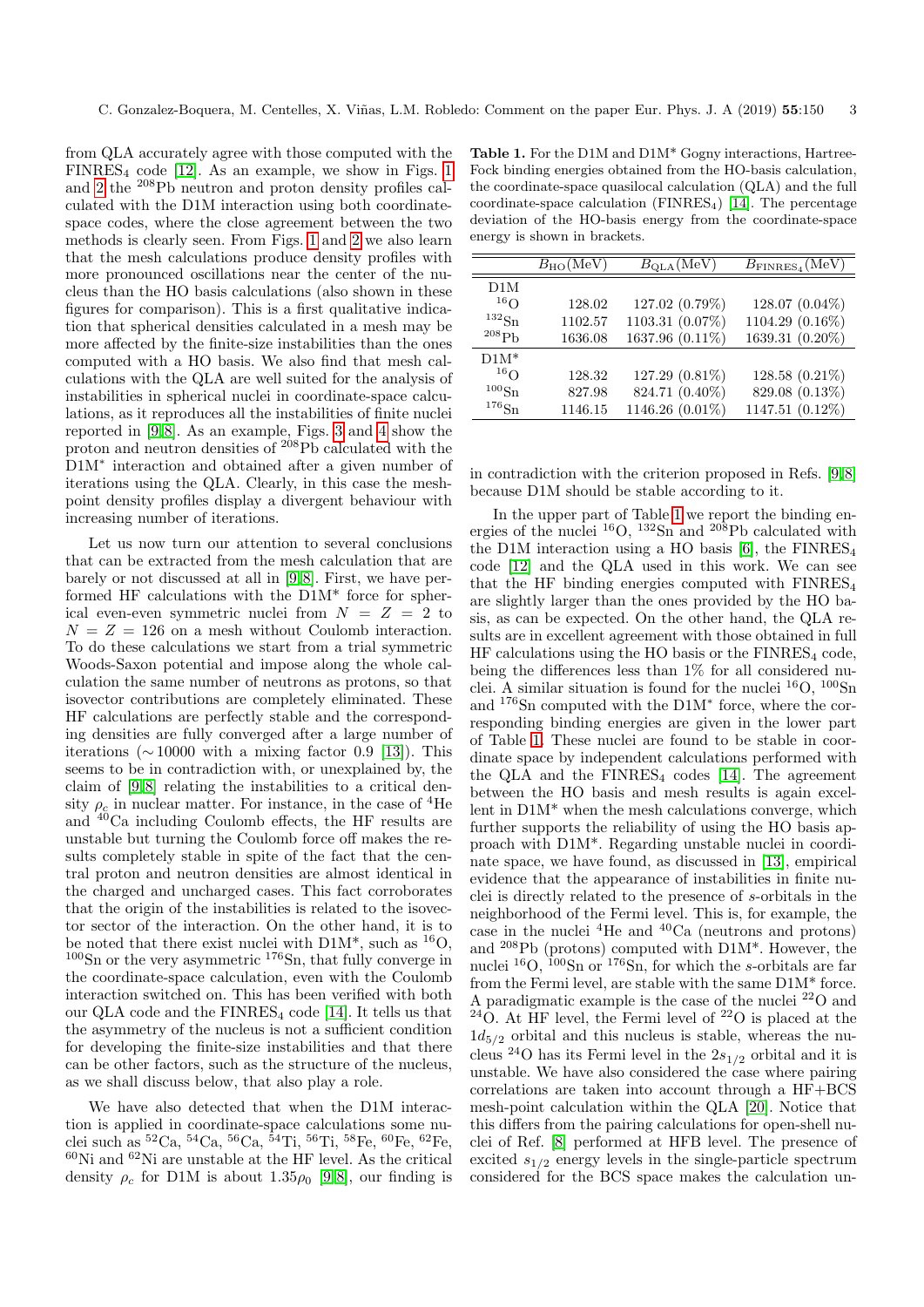from QLA accurately agree with those computed with the  $FINRES<sub>4</sub> code [12]$  $FINRES<sub>4</sub> code [12]$ . As an example, we show in Figs. [1](#page-1-0) and [2](#page-1-2) the <sup>208</sup>Pb neutron and proton density profiles calculated with the D1M interaction using both coordinatespace codes, where the close agreement between the two methods is clearly seen. From Figs. [1](#page-1-0) and [2](#page-1-2) we also learn that the mesh calculations produce density profiles with more pronounced oscillations near the center of the nucleus than the HO basis calculations (also shown in these figures for comparison). This is a first qualitative indication that spherical densities calculated in a mesh may be more affected by the finite-size instabilities than the ones computed with a HO basis. We also find that mesh calculations with the QLA are well suited for the analysis of instabilities in spherical nuclei in coordinate-space calculations, as it reproduces all the instabilities of finite nuclei reported in  $[9, 8]$  $[9, 8]$ . As an example, Figs. [3](#page-1-1) and [4](#page-1-3) show the proton and neutron densities of <sup>208</sup>Pb calculated with the D1M<sup>∗</sup> interaction and obtained after a given number of iterations using the QLA. Clearly, in this case the meshpoint density profiles display a divergent behaviour with increasing number of iterations.

Let us now turn our attention to several conclusions that can be extracted from the mesh calculation that are barely or not discussed at all in [\[9,](#page-5-8) [8\]](#page-5-7). First, we have performed HF calculations with the D1M\* force for spherical even-even symmetric nuclei from N = Z = 2 to  $N = Z = 126$  on a mesh without Coulomb interaction. To do these calculations we start from a trial symmetric Woods-Saxon potential and impose along the whole calculation the same number of neutrons as protons, so that isovector contributions are completely eliminated. These HF calculations are perfectly stable and the corresponding densities are fully converged after a large number of iterations ( $\sim$  10000 with a mixing factor 0.9 [\[13\]](#page-5-12)). This seems to be in contradiction with, or unexplained by, the claim of [\[9,](#page-5-8) [8\]](#page-5-7) relating the instabilities to a critical density  $\rho_c$  in nuclear matter. For instance, in the case of <sup>4</sup>He and <sup>40</sup>Ca including Coulomb effects, the HF results are unstable but turning the Coulomb force off makes the results completely stable in spite of the fact that the central proton and neutron densities are almost identical in the charged and uncharged cases. This fact corroborates that the origin of the instabilities is related to the isovector sector of the interaction. On the other hand, it is to be noted that there exist nuclei with  $D1M^*$ , such as <sup>16</sup>O,  $100\text{Sn}$  or the very asymmetric  $176\text{Sn}$ , that fully converge in the coordinate-space calculation, even with the Coulomb interaction switched on. This has been verified with both our QLA code and the  $\text{FINRES}_4$  code [\[14\]](#page-5-20). It tells us that the asymmetry of the nucleus is not a sufficient condition for developing the finite-size instabilities and that there can be other factors, such as the structure of the nucleus, as we shall discuss below, that also play a role.

We have also detected that when the D1M interaction is applied in coordinate-space calculations some nuclei such as  ${}^{52}Ca, {}^{54}Ca, {}^{56}Ca, {}^{54}Ti, {}^{56}Ti, {}^{58}Fe, {}^{60}Fe, {}^{62}Fe,$  ${}^{60}\mathrm{Ni}$  and  ${}^{62}\mathrm{Ni}$  are unstable at the HF level. As the critical density  $\rho_c$  for D1M is about 1.35 $\rho_0$  [\[9,](#page-5-8)8], our finding is

<span id="page-2-0"></span>Table 1. For the D1M and D1M\* Gogny interactions, Hartree-Fock binding energies obtained from the HO-basis calculation, the coordinate-space quasilocal calculation (QLA) and the full coordinate-space calculation ( $\text{FINRES}_4$ ) [\[14\]](#page-5-20). The percentage deviation of the HO-basis energy from the coordinate-space energy is shown in brackets.

|                     | $B_{\rm HO}(\rm MeV)$ | $B_{\text{QLA}}(\text{MeV})$ | $B_{\text{FINRES}_4}(\text{MeV})$ |
|---------------------|-----------------------|------------------------------|-----------------------------------|
| D1M                 |                       |                              |                                   |
| 16 <sub>O</sub>     | 128.02                | 127.02 (0.79%)               | $128.07(0.04\%)$                  |
| $^{132}\mathrm{Sn}$ | 1102.57               | 1103.31 (0.07%)              | 1104.29 (0.16%)                   |
| $^{208}Ph$          | 1636.08               | 1637.96 (0.11%)              | 1639.31 (0.20%)                   |
| $DM*$               |                       |                              |                                   |
| 16 <sub>O</sub>     | 128.32                | $127.29(0.81\%)$             | $128.58(0.21\%)$                  |
| $^{100}\mathrm{Sn}$ | 827.98                | 824.71 (0.40%)               | 829.08 (0.13%)                    |
| $^{176}Sn$          | 1146.15               | 1146.26 (0.01%)              | 1147.51 (0.12%)                   |

in contradiction with the criterion proposed in Refs. [\[9,](#page-5-8) [8\]](#page-5-7) because D1M should be stable according to it.

In the upper part of Table [1](#page-2-0) we report the binding energies of the nuclei  $^{16}$ O,  $^{132}$ Sn and  $^{208}$ Pb calculated with the D1M interaction using a HO basis  $[6]$ , the FINRES<sub>4</sub> code [\[12\]](#page-5-11) and the QLA used in this work. We can see that the HF binding energies computed with  $\text{FINRES}_4$ are slightly larger than the ones provided by the HO basis, as can be expected. On the other hand, the QLA results are in excellent agreement with those obtained in full  $HF$  calculations using the HO basis or the  $FINRES<sub>4</sub>$  code, being the differences less than 1% for all considered nuclei. A similar situation is found for the nuclei  ${}^{16}O, {}^{100}Sn$ and <sup>176</sup>Sn computed with the D1M<sup>∗</sup> force, where the corresponding binding energies are given in the lower part of Table [1.](#page-2-0) These nuclei are found to be stable in coordinate space by independent calculations performed with the QLA and the  $\text{FINRES}_4$  codes [\[14\]](#page-5-20). The agreement between the HO basis and mesh results is again excellent in D1M\* when the mesh calculations converge, which further supports the reliability of using the HO basis approach with D1M\*. Regarding unstable nuclei in coordinate space, we have found, as discussed in [\[13\]](#page-5-12), empirical evidence that the appearance of instabilities in finite nuclei is directly related to the presence of s-orbitals in the neighborhood of the Fermi level. This is, for example, the case in the nuclei  ${}^{4}$ He and  ${}^{40}$ Ca (neutrons and protons) and <sup>208</sup>Pb (protons) computed with D1M\*. However, the nuclei  ${}^{16}O$ ,  ${}^{100}Sn$  or  ${}^{176}Sn$ , for which the s-orbitals are far from the Fermi level, are stable with the same D1M\* force. A paradigmatic example is the case of the nuclei <sup>22</sup>O and  $^{24}$ O. At HF level, the Fermi level of  $^{22}$ O is placed at the  $1d_{5/2}$  orbital and this nucleus is stable, whereas the nucleus <sup>24</sup>O has its Fermi level in the  $2s_{1/2}$  orbital and it is unstable. We have also considered the case where pairing correlations are taken into account through a HF+BCS mesh-point calculation within the QLA [\[20\]](#page-5-18). Notice that this differs from the pairing calculations for open-shell nuclei of Ref. [\[8\]](#page-5-7) performed at HFB level. The presence of excited  $s_{1/2}$  energy levels in the single-particle spectrum considered for the BCS space makes the calculation un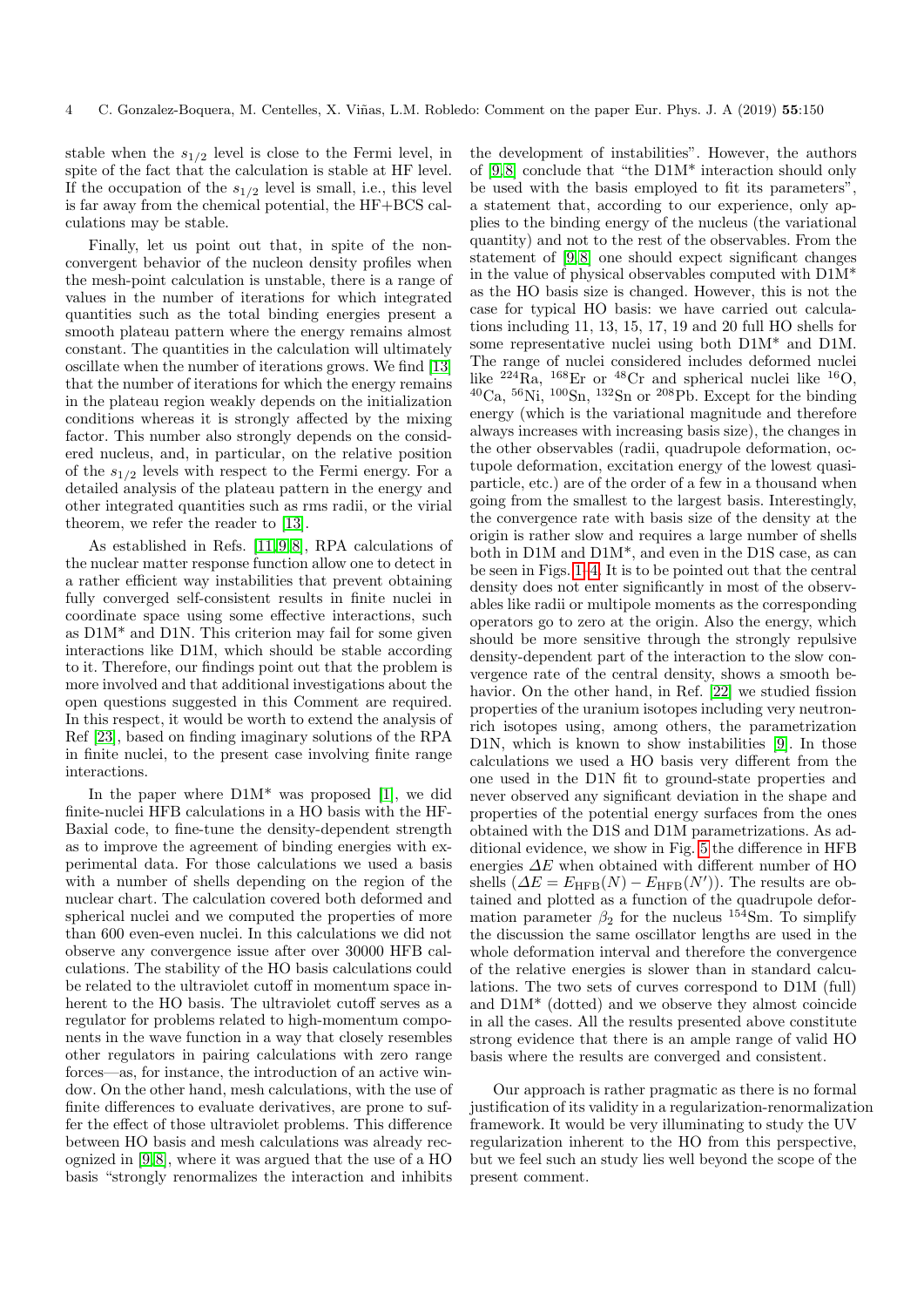stable when the  $s_{1/2}$  level is close to the Fermi level, in spite of the fact that the calculation is stable at HF level. If the occupation of the  $s_{1/2}$  level is small, i.e., this level is far away from the chemical potential, the HF+BCS calculations may be stable.

Finally, let us point out that, in spite of the nonconvergent behavior of the nucleon density profiles when the mesh-point calculation is unstable, there is a range of values in the number of iterations for which integrated quantities such as the total binding energies present a smooth plateau pattern where the energy remains almost constant. The quantities in the calculation will ultimately oscillate when the number of iterations grows. We find [\[13\]](#page-5-12) that the number of iterations for which the energy remains in the plateau region weakly depends on the initialization conditions whereas it is strongly affected by the mixing factor. This number also strongly depends on the considered nucleus, and, in particular, on the relative position of the  $s_{1/2}$  levels with respect to the Fermi energy. For a detailed analysis of the plateau pattern in the energy and other integrated quantities such as rms radii, or the virial theorem, we refer the reader to [\[13\]](#page-5-12).

As established in Refs. [\[11,](#page-5-10) [9,](#page-5-8) [8\]](#page-5-7), RPA calculations of the nuclear matter response function allow one to detect in a rather efficient way instabilities that prevent obtaining fully converged self-consistent results in finite nuclei in coordinate space using some effective interactions, such as D1M\* and D1N. This criterion may fail for some given interactions like D1M, which should be stable according to it. Therefore, our findings point out that the problem is more involved and that additional investigations about the open questions suggested in this Comment are required. In this respect, it would be worth to extend the analysis of Ref [\[23\]](#page-5-21), based on finding imaginary solutions of the RPA in finite nuclei, to the present case involving finite range interactions.

In the paper where  $D1M^*$  was proposed [\[1\]](#page-5-0), we did finite-nuclei HFB calculations in a HO basis with the HF-Baxial code, to fine-tune the density-dependent strength as to improve the agreement of binding energies with experimental data. For those calculations we used a basis with a number of shells depending on the region of the nuclear chart. The calculation covered both deformed and spherical nuclei and we computed the properties of more than 600 even-even nuclei. In this calculations we did not observe any convergence issue after over 30000 HFB calculations. The stability of the HO basis calculations could be related to the ultraviolet cutoff in momentum space inherent to the HO basis. The ultraviolet cutoff serves as a regulator for problems related to high-momentum components in the wave function in a way that closely resembles other regulators in pairing calculations with zero range forces—as, for instance, the introduction of an active window. On the other hand, mesh calculations, with the use of finite differences to evaluate derivatives, are prone to suffer the effect of those ultraviolet problems. This difference between HO basis and mesh calculations was already recognized in  $[9, 8]$  $[9, 8]$ , where it was argued that the use of a HO basis "strongly renormalizes the interaction and inhibits the development of instabilities". However, the authors of [\[9,](#page-5-8) [8\]](#page-5-7) conclude that "the D1M\* interaction should only be used with the basis employed to fit its parameters", a statement that, according to our experience, only applies to the binding energy of the nucleus (the variational quantity) and not to the rest of the observables. From the statement of [\[9,](#page-5-8) [8\]](#page-5-7) one should expect significant changes in the value of physical observables computed with D1M\* as the HO basis size is changed. However, this is not the case for typical HO basis: we have carried out calculations including 11, 13, 15, 17, 19 and 20 full HO shells for some representative nuclei using both D1M\* and D1M. The range of nuclei considered includes deformed nuclei like  $^{224}$ Ra,  $^{168}$ Er or  $^{48}$ Cr and spherical nuclei like  $^{16}$ O,  ${}^{40}Ca$ ,  ${}^{56}Ni$ ,  ${}^{100}Sn$ ,  ${}^{132}Sn$  or  ${}^{208}Pb$ . Except for the binding energy (which is the variational magnitude and therefore always increases with increasing basis size), the changes in the other observables (radii, quadrupole deformation, octupole deformation, excitation energy of the lowest quasiparticle, etc.) are of the order of a few in a thousand when going from the smallest to the largest basis. Interestingly, the convergence rate with basis size of the density at the origin is rather slow and requires a large number of shells both in D1M and D1M\*, and even in the D1S case, as can be seen in Figs. [1](#page-1-0)[–4.](#page-1-3) It is to be pointed out that the central density does not enter significantly in most of the observables like radii or multipole moments as the corresponding operators go to zero at the origin. Also the energy, which should be more sensitive through the strongly repulsive density-dependent part of the interaction to the slow convergence rate of the central density, shows a smooth behavior. On the other hand, in Ref. [\[22\]](#page-5-22) we studied fission properties of the uranium isotopes including very neutronrich isotopes using, among others, the parametrization D1N, which is known to show instabilities [\[9\]](#page-5-8). In those calculations we used a HO basis very different from the one used in the D1N fit to ground-state properties and never observed any significant deviation in the shape and properties of the potential energy surfaces from the ones obtained with the D1S and D1M parametrizations. As additional evidence, we show in Fig. [5](#page-4-0) the difference in HFB energies  $\Delta E$  when obtained with different number of HO shells  $(\Delta E = E_{\text{HFB}}(N) - E_{\text{HFB}}(N'))$ . The results are obtained and plotted as a function of the quadrupole deformation parameter  $\beta_2$  for the nucleus  $^{154}$ Sm. To simplify the discussion the same oscillator lengths are used in the whole deformation interval and therefore the convergence of the relative energies is slower than in standard calculations. The two sets of curves correspond to D1M (full) and D1M\* (dotted) and we observe they almost coincide in all the cases. All the results presented above constitute strong evidence that there is an ample range of valid HO basis where the results are converged and consistent.

Our approach is rather pragmatic as there is no formal justification of its validity in a regularization-renormalization framework. It would be very illuminating to study the UV regularization inherent to the HO from this perspective, but we feel such an study lies well beyond the scope of the present comment.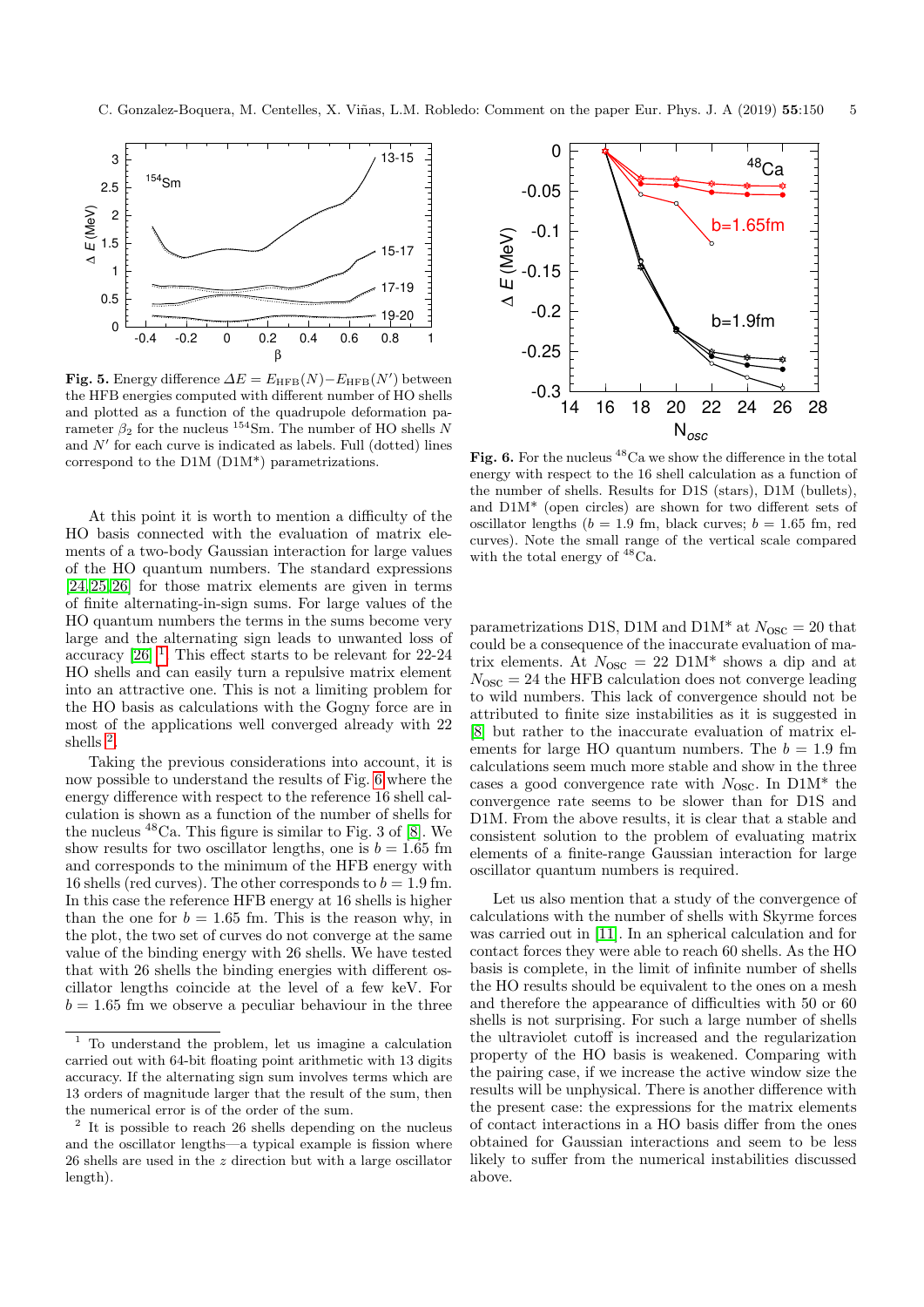

<span id="page-4-0"></span>**Fig. 5.** Energy difference  $\Delta E = E_{\text{HFB}}(N) - E_{\text{HFB}}(N')$  between the HFB energies computed with different number of HO shells and plotted as a function of the quadrupole deformation parameter  $\beta_2$  for the nucleus <sup>154</sup>Sm. The number of HO shells N and  $N'$  for each curve is indicated as labels. Full (dotted) lines correspond to the D1M (D1M\*) parametrizations.

At this point it is worth to mention a difficulty of the HO basis connected with the evaluation of matrix elements of a two-body Gaussian interaction for large values of the HO quantum numbers. The standard expressions [\[24,](#page-5-23) [25,](#page-5-24) [26\]](#page-5-25) for those matrix elements are given in terms of finite alternating-in-sign sums. For large values of the HO quantum numbers the terms in the sums become very large and the alternating sign leads to unwanted loss of accuracy  $[26]$ <sup>[1](#page-4-1)</sup>. This effect starts to be relevant for 22-24 HO shells and can easily turn a repulsive matrix element into an attractive one. This is not a limiting problem for the HO basis as calculations with the Gogny force are in most of the applications well converged already with 22 shells <sup>[2](#page-4-2)</sup>.

Taking the previous considerations into account, it is now possible to understand the results of Fig. [6](#page-4-3) where the energy difference with respect to the reference 16 shell calculation is shown as a function of the number of shells for the nucleus  $48$ Ca. This figure is similar to Fig. 3 of [\[8\]](#page-5-7). We show results for two oscillator lengths, one is  $b = 1.65$  fm and corresponds to the minimum of the HFB energy with 16 shells (red curves). The other corresponds to  $b = 1.9$  fm. In this case the reference HFB energy at 16 shells is higher than the one for  $b = 1.65$  fm. This is the reason why, in the plot, the two set of curves do not converge at the same value of the binding energy with 26 shells. We have tested that with 26 shells the binding energies with different oscillator lengths coincide at the level of a few keV. For  $b = 1.65$  fm we observe a peculiar behaviour in the three



<span id="page-4-3"></span>Fig. 6. For the nucleus  $^{48}$ Ca we show the difference in the total energy with respect to the 16 shell calculation as a function of the number of shells. Results for D1S (stars), D1M (bullets), and D1M\* (open circles) are shown for two different sets of oscillator lengths ( $b = 1.9$  fm, black curves;  $b = 1.65$  fm, red curves). Note the small range of the vertical scale compared with the total energy of  $^{48}$ Ca.

parametrizations D1S, D1M and D1M<sup>\*</sup> at  $N_{\text{osc}} = 20$  that could be a consequence of the inaccurate evaluation of matrix elements. At  $N_{\text{OSC}} = 22 \text{ D}1\text{M}^*$  shows a dip and at  $N_{\rm osc} = 24$  the HFB calculation does not converge leading to wild numbers. This lack of convergence should not be attributed to finite size instabilities as it is suggested in [\[8\]](#page-5-7) but rather to the inaccurate evaluation of matrix elements for large HO quantum numbers. The  $b = 1.9$  fm calculations seem much more stable and show in the three cases a good convergence rate with  $N_{\text{osc}}$ . In D1M\* the convergence rate seems to be slower than for D1S and D1M. From the above results, it is clear that a stable and consistent solution to the problem of evaluating matrix elements of a finite-range Gaussian interaction for large oscillator quantum numbers is required.

Let us also mention that a study of the convergence of calculations with the number of shells with Skyrme forces was carried out in [\[11\]](#page-5-10). In an spherical calculation and for contact forces they were able to reach 60 shells. As the HO basis is complete, in the limit of infinite number of shells the HO results should be equivalent to the ones on a mesh and therefore the appearance of difficulties with 50 or 60 shells is not surprising. For such a large number of shells the ultraviolet cutoff is increased and the regularization property of the HO basis is weakened. Comparing with the pairing case, if we increase the active window size the results will be unphysical. There is another difference with the present case: the expressions for the matrix elements of contact interactions in a HO basis differ from the ones obtained for Gaussian interactions and seem to be less likely to suffer from the numerical instabilities discussed above.

<span id="page-4-1"></span><sup>1</sup> To understand the problem, let us imagine a calculation carried out with 64-bit floating point arithmetic with 13 digits accuracy. If the alternating sign sum involves terms which are 13 orders of magnitude larger that the result of the sum, then the numerical error is of the order of the sum.

<span id="page-4-2"></span><sup>&</sup>lt;sup>2</sup> It is possible to reach 26 shells depending on the nucleus and the oscillator lengths—a typical example is fission where 26 shells are used in the z direction but with a large oscillator length).